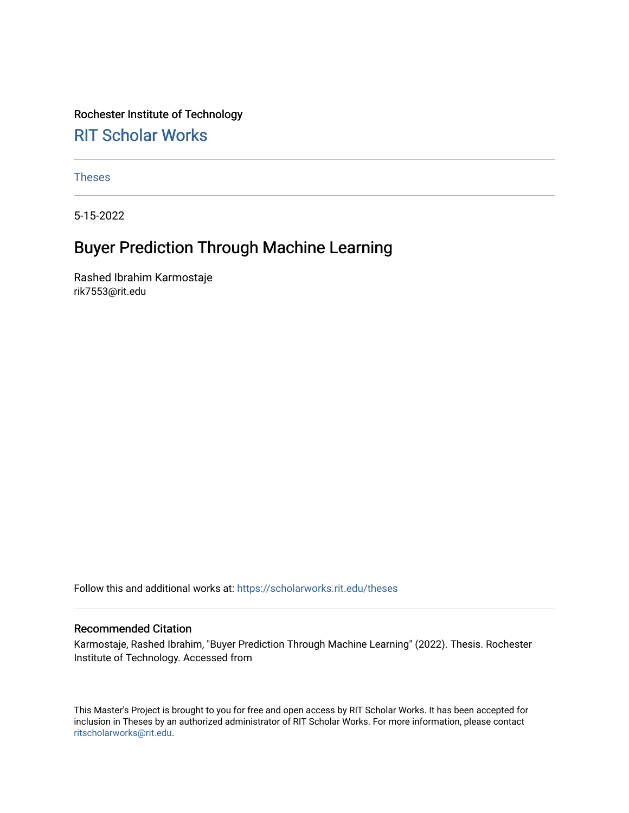Rochester Institute of Technology [RIT Scholar Works](https://scholarworks.rit.edu/)

[Theses](https://scholarworks.rit.edu/theses) 

5-15-2022

# Buyer Prediction Through Machine Learning

Rashed Ibrahim Karmostaje rik7553@rit.edu

Follow this and additional works at: [https://scholarworks.rit.edu/theses](https://scholarworks.rit.edu/theses?utm_source=scholarworks.rit.edu%2Ftheses%2F11181&utm_medium=PDF&utm_campaign=PDFCoverPages) 

#### Recommended Citation

Karmostaje, Rashed Ibrahim, "Buyer Prediction Through Machine Learning" (2022). Thesis. Rochester Institute of Technology. Accessed from

This Master's Project is brought to you for free and open access by RIT Scholar Works. It has been accepted for inclusion in Theses by an authorized administrator of RIT Scholar Works. For more information, please contact [ritscholarworks@rit.edu](mailto:ritscholarworks@rit.edu).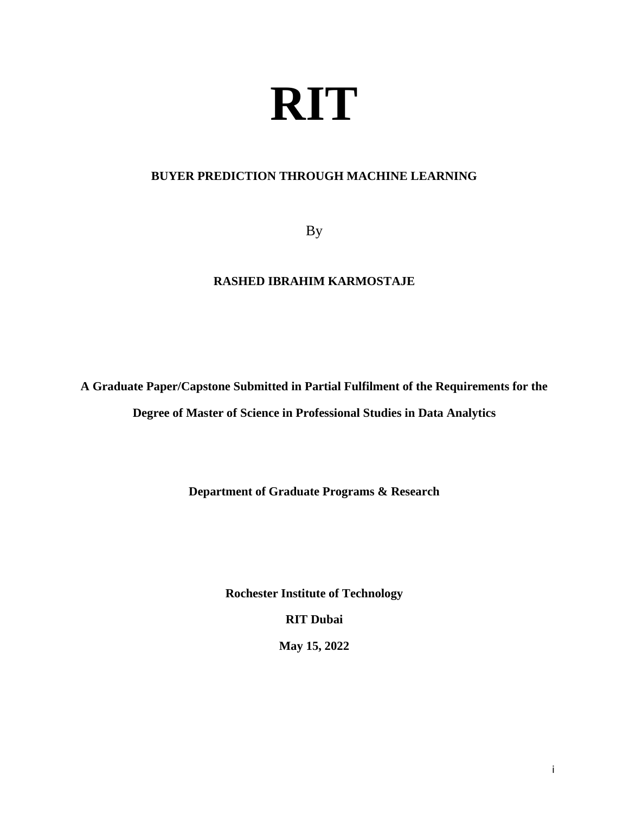# **RIT**

# **BUYER PREDICTION THROUGH MACHINE LEARNING**

By

#### **RASHED IBRAHIM KARMOSTAJE**

**A Graduate Paper/Capstone Submitted in Partial Fulfilment of the Requirements for the Degree of Master of Science in Professional Studies in Data Analytics**

**Department of Graduate Programs & Research**

**Rochester Institute of Technology**

#### **RIT Dubai**

**May 15, 2022**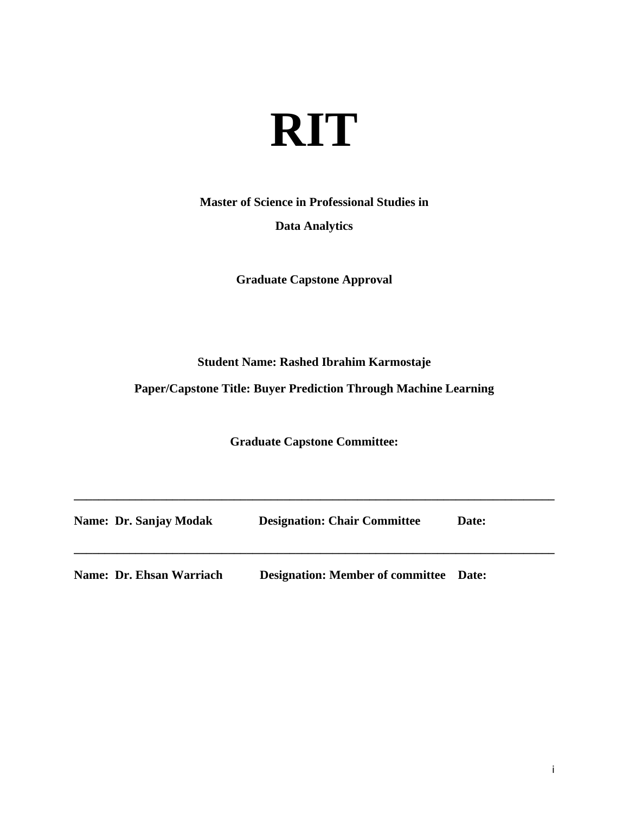

**Master of Science in Professional Studies in**

**Data Analytics**

**Graduate Capstone Approval**

**Student Name: Rashed Ibrahim Karmostaje**

**Paper/Capstone Title: Buyer Prediction Through Machine Learning**

**Graduate Capstone Committee:**

**\_\_\_\_\_\_\_\_\_\_\_\_\_\_\_\_\_\_\_\_\_\_\_\_\_\_\_\_\_\_\_\_\_\_\_\_\_\_\_\_\_\_\_\_\_\_\_\_\_\_\_\_\_\_\_\_\_\_\_\_\_\_\_\_\_\_\_\_\_\_\_\_\_\_\_\_\_\_**

| <b>Name: Dr. Sanjay Modak</b> | <b>Designation: Chair Committee</b>           | Date: |
|-------------------------------|-----------------------------------------------|-------|
|                               |                                               |       |
| Name: Dr. Ehsan Warriach      | <b>Designation: Member of committee Date:</b> |       |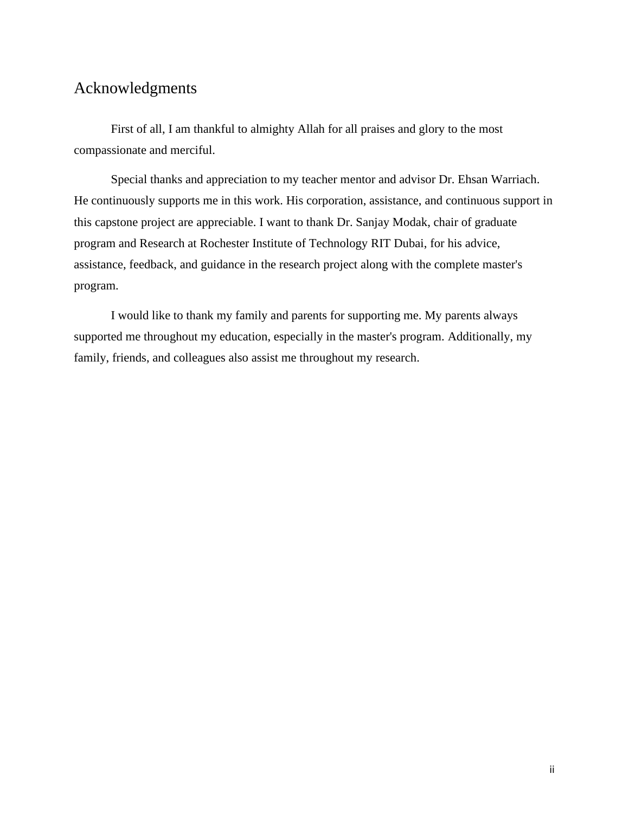# <span id="page-3-0"></span>Acknowledgments

First of all, I am thankful to almighty Allah for all praises and glory to the most compassionate and merciful.

Special thanks and appreciation to my teacher mentor and advisor Dr. Ehsan Warriach. He continuously supports me in this work. His corporation, assistance, and continuous support in this capstone project are appreciable. I want to thank Dr. Sanjay Modak, chair of graduate program and Research at Rochester Institute of Technology RIT Dubai, for his advice, assistance, feedback, and guidance in the research project along with the complete master's program.

I would like to thank my family and parents for supporting me. My parents always supported me throughout my education, especially in the master's program. Additionally, my family, friends, and colleagues also assist me throughout my research.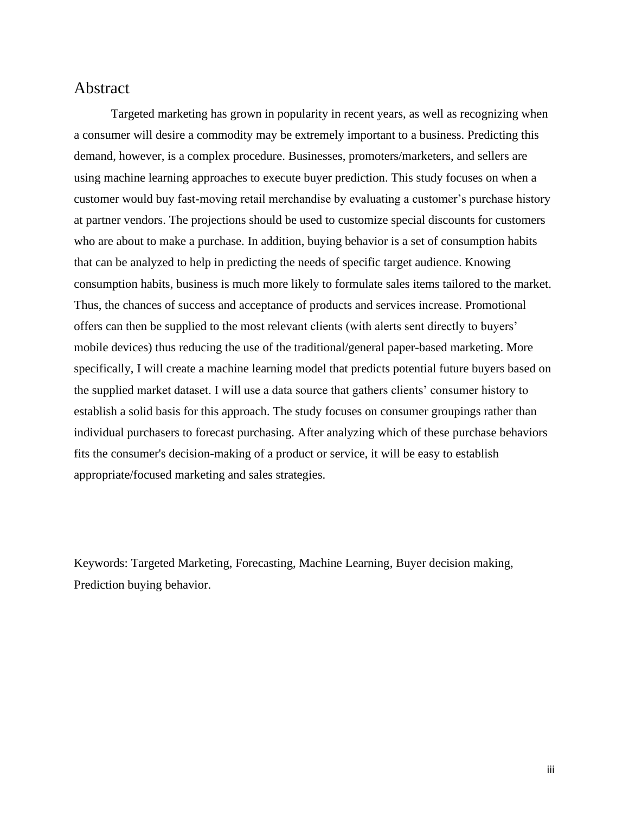# <span id="page-4-0"></span>Abstract

Targeted marketing has grown in popularity in recent years, as well as recognizing when a consumer will desire a commodity may be extremely important to a business. Predicting this demand, however, is a complex procedure. Businesses, promoters/marketers, and sellers are using machine learning approaches to execute buyer prediction. This study focuses on when a customer would buy fast-moving retail merchandise by evaluating a customer's purchase history at partner vendors. The projections should be used to customize special discounts for customers who are about to make a purchase. In addition, buying behavior is a set of consumption habits that can be analyzed to help in predicting the needs of specific target audience. Knowing consumption habits, business is much more likely to formulate sales items tailored to the market. Thus, the chances of success and acceptance of products and services increase. Promotional offers can then be supplied to the most relevant clients (with alerts sent directly to buyers' mobile devices) thus reducing the use of the traditional/general paper-based marketing. More specifically, I will create a machine learning model that predicts potential future buyers based on the supplied market dataset. I will use a data source that gathers clients' consumer history to establish a solid basis for this approach. The study focuses on consumer groupings rather than individual purchasers to forecast purchasing. After analyzing which of these purchase behaviors fits the consumer's decision-making of a product or service, it will be easy to establish appropriate/focused marketing and sales strategies.

Keywords: Targeted Marketing, Forecasting, Machine Learning, Buyer decision making, Prediction buying behavior.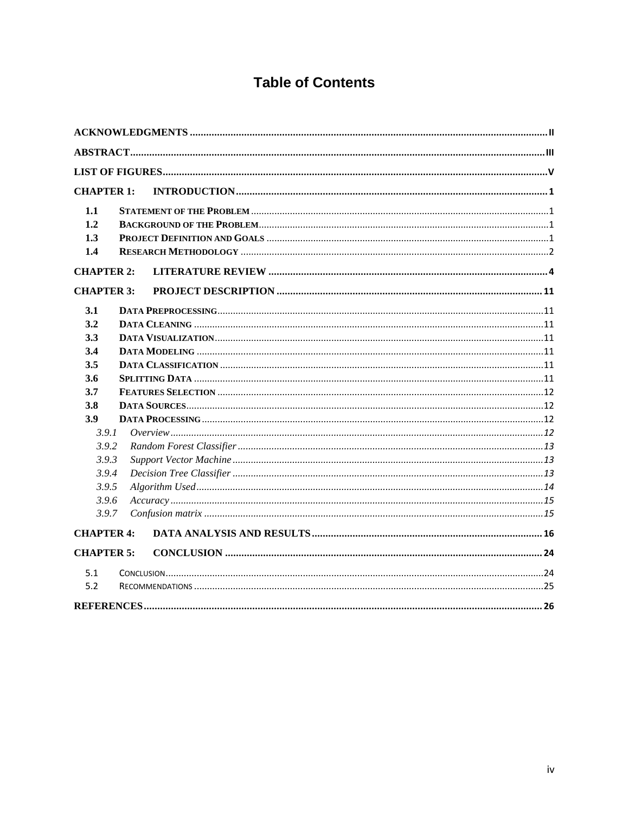# **Table of Contents**

| <b>CHAPTER 1:</b> |  |
|-------------------|--|
| 1.1               |  |
| 1.2               |  |
| 1.3               |  |
| 1.4               |  |
| <b>CHAPTER 2:</b> |  |
| <b>CHAPTER 3:</b> |  |
| 3.1               |  |
| 3.2               |  |
| 3.3               |  |
| 3.4               |  |
| 3.5               |  |
| 3.6               |  |
| 3.7               |  |
| 3.8               |  |
| 3.9               |  |
| 3.9.1             |  |
| 3.9.2             |  |
| 3.9.3             |  |
| 3.9.4             |  |
| 3.9.5             |  |
| 3.9.6             |  |
| 3.9.7             |  |
| <b>CHAPTER 4:</b> |  |
| <b>CHAPTER 5:</b> |  |
| 5.1               |  |
| 5.2               |  |
|                   |  |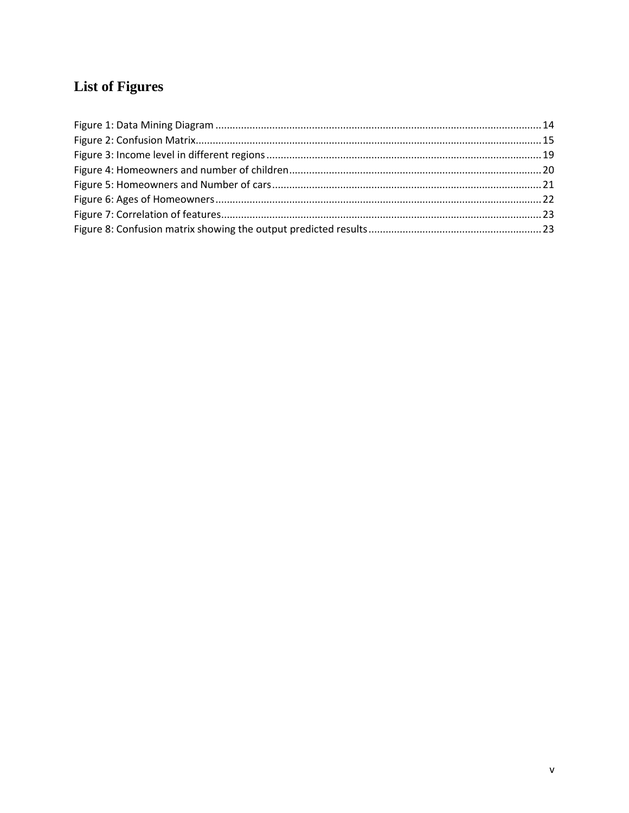# <span id="page-6-0"></span>**List of Figures**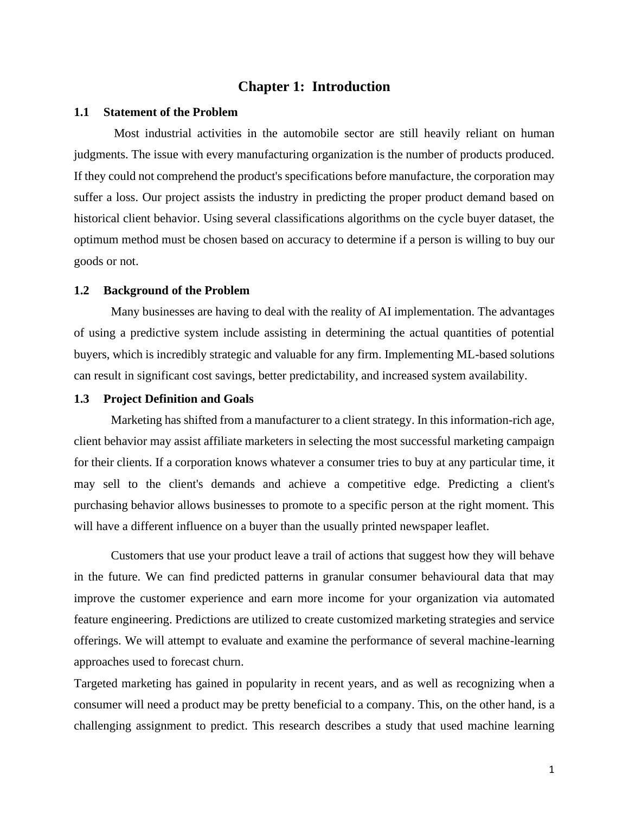# **Chapter 1: Introduction**

#### <span id="page-7-1"></span><span id="page-7-0"></span>**1.1 Statement of the Problem**

Most industrial activities in the automobile sector are still heavily reliant on human judgments. The issue with every manufacturing organization is the number of products produced. If they could not comprehend the product's specifications before manufacture, the corporation may suffer a loss. Our project assists the industry in predicting the proper product demand based on historical client behavior. Using several classifications algorithms on the cycle buyer dataset, the optimum method must be chosen based on accuracy to determine if a person is willing to buy our goods or not.

#### <span id="page-7-2"></span>**1.2 Background of the Problem**

Many businesses are having to deal with the reality of AI implementation. The advantages of using a predictive system include assisting in determining the actual quantities of potential buyers, which is incredibly strategic and valuable for any firm. Implementing ML-based solutions can result in significant cost savings, better predictability, and increased system availability.

#### <span id="page-7-3"></span>**1.3 Project Definition and Goals**

Marketing has shifted from a manufacturer to a client strategy. In this information-rich age, client behavior may assist affiliate marketers in selecting the most successful marketing campaign for their clients. If a corporation knows whatever a consumer tries to buy at any particular time, it may sell to the client's demands and achieve a competitive edge. Predicting a client's purchasing behavior allows businesses to promote to a specific person at the right moment. This will have a different influence on a buyer than the usually printed newspaper leaflet.

Customers that use your product leave a trail of actions that suggest how they will behave in the future. We can find predicted patterns in granular consumer behavioural data that may improve the customer experience and earn more income for your organization via automated feature engineering. Predictions are utilized to create customized marketing strategies and service offerings. We will attempt to evaluate and examine the performance of several machine-learning approaches used to forecast churn.

Targeted marketing has gained in popularity in recent years, and as well as recognizing when a consumer will need a product may be pretty beneficial to a company. This, on the other hand, is a challenging assignment to predict. This research describes a study that used machine learning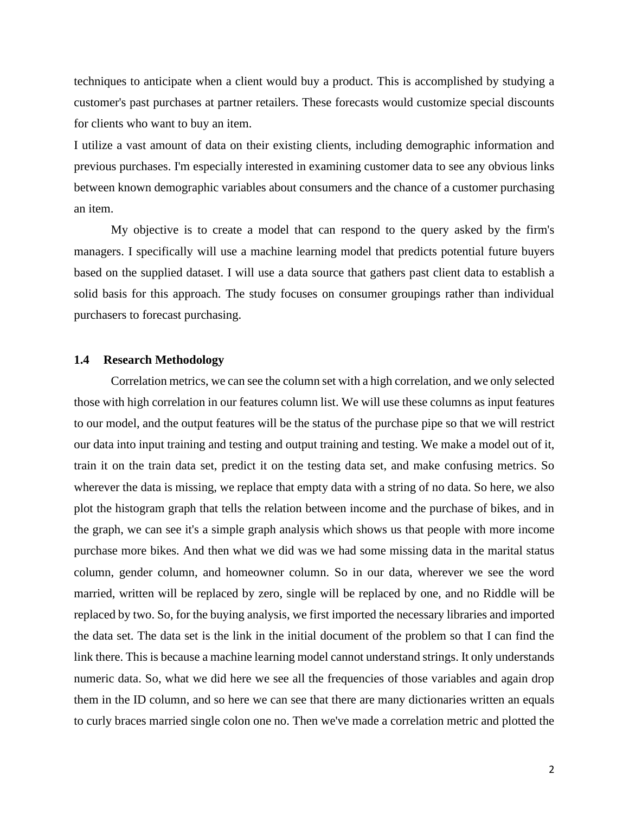techniques to anticipate when a client would buy a product. This is accomplished by studying a customer's past purchases at partner retailers. These forecasts would customize special discounts for clients who want to buy an item.

I utilize a vast amount of data on their existing clients, including demographic information and previous purchases. I'm especially interested in examining customer data to see any obvious links between known demographic variables about consumers and the chance of a customer purchasing an item.

My objective is to create a model that can respond to the query asked by the firm's managers. I specifically will use a machine learning model that predicts potential future buyers based on the supplied dataset. I will use a data source that gathers past client data to establish a solid basis for this approach. The study focuses on consumer groupings rather than individual purchasers to forecast purchasing.

#### <span id="page-8-0"></span>**1.4 Research Methodology**

Correlation metrics, we can see the column set with a high correlation, and we only selected those with high correlation in our features column list. We will use these columns as input features to our model, and the output features will be the status of the purchase pipe so that we will restrict our data into input training and testing and output training and testing. We make a model out of it, train it on the train data set, predict it on the testing data set, and make confusing metrics. So wherever the data is missing, we replace that empty data with a string of no data. So here, we also plot the histogram graph that tells the relation between income and the purchase of bikes, and in the graph, we can see it's a simple graph analysis which shows us that people with more income purchase more bikes. And then what we did was we had some missing data in the marital status column, gender column, and homeowner column. So in our data, wherever we see the word married, written will be replaced by zero, single will be replaced by one, and no Riddle will be replaced by two. So, for the buying analysis, we first imported the necessary libraries and imported the data set. The data set is the link in the initial document of the problem so that I can find the link there. This is because a machine learning model cannot understand strings. It only understands numeric data. So, what we did here we see all the frequencies of those variables and again drop them in the ID column, and so here we can see that there are many dictionaries written an equals to curly braces married single colon one no. Then we've made a correlation metric and plotted the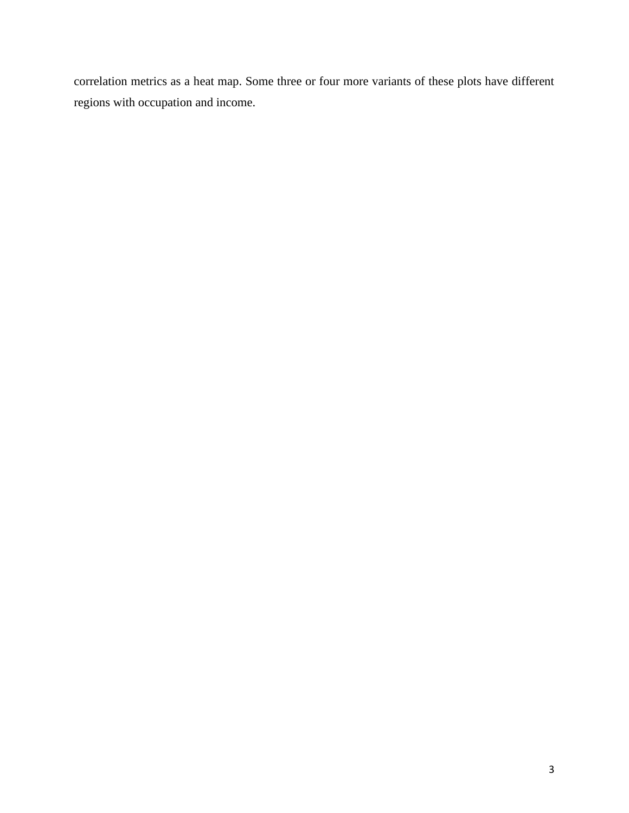correlation metrics as a heat map. Some three or four more variants of these plots have different regions with occupation and income.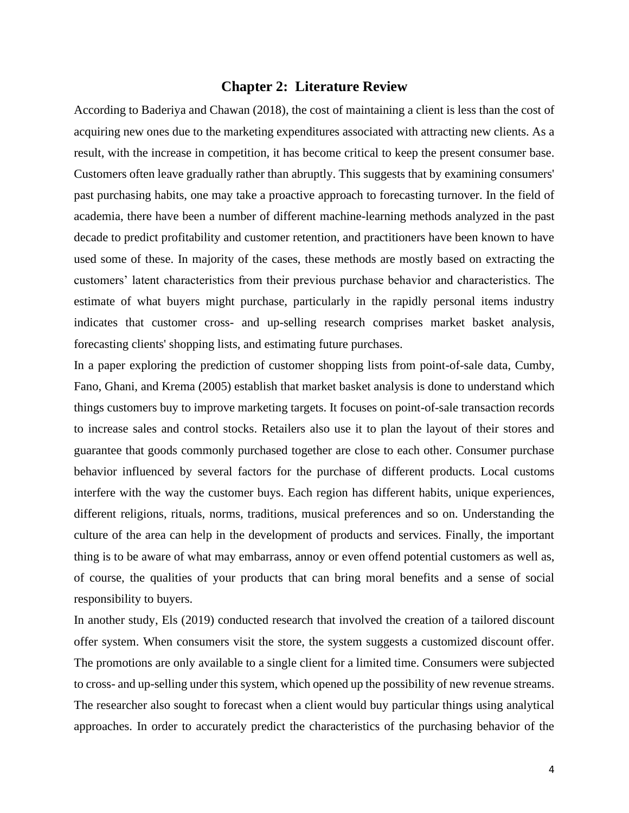# **Chapter 2: Literature Review**

<span id="page-10-0"></span>According to Baderiya and Chawan (2018), the cost of maintaining a client is less than the cost of acquiring new ones due to the marketing expenditures associated with attracting new clients. As a result, with the increase in competition, it has become critical to keep the present consumer base. Customers often leave gradually rather than abruptly. This suggests that by examining consumers' past purchasing habits, one may take a proactive approach to forecasting turnover. In the field of academia, there have been a number of different machine-learning methods analyzed in the past decade to predict profitability and customer retention, and practitioners have been known to have used some of these. In majority of the cases, these methods are mostly based on extracting the customers' latent characteristics from their previous purchase behavior and characteristics. The estimate of what buyers might purchase, particularly in the rapidly personal items industry indicates that customer cross- and up-selling research comprises market basket analysis, forecasting clients' shopping lists, and estimating future purchases.

In a paper exploring the prediction of customer shopping lists from point-of-sale data, Cumby, Fano, Ghani, and Krema (2005) establish that market basket analysis is done to understand which things customers buy to improve marketing targets. It focuses on point-of-sale transaction records to increase sales and control stocks. Retailers also use it to plan the layout of their stores and guarantee that goods commonly purchased together are close to each other. Consumer purchase behavior influenced by several factors for the purchase of different products. Local customs interfere with the way the customer buys. Each region has different habits, unique experiences, different religions, rituals, norms, traditions, musical preferences and so on. Understanding the culture of the area can help in the development of products and services. Finally, the important thing is to be aware of what may embarrass, annoy or even offend potential customers as well as, of course, the qualities of your products that can bring moral benefits and a sense of social responsibility to buyers.

In another study, Els (2019) conducted research that involved the creation of a tailored discount offer system. When consumers visit the store, the system suggests a customized discount offer. The promotions are only available to a single client for a limited time. Consumers were subjected to cross- and up-selling under this system, which opened up the possibility of new revenue streams. The researcher also sought to forecast when a client would buy particular things using analytical approaches. In order to accurately predict the characteristics of the purchasing behavior of the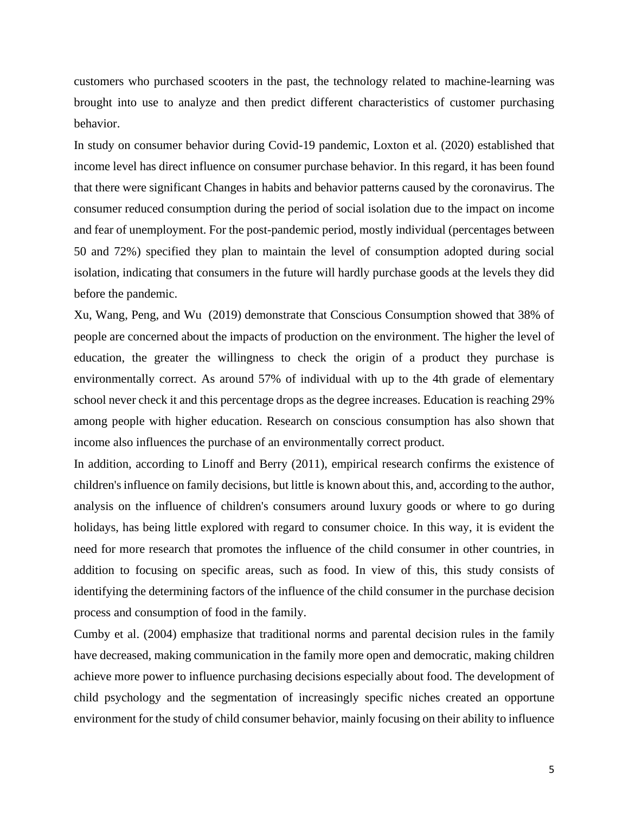customers who purchased scooters in the past, the technology related to machine-learning was brought into use to analyze and then predict different characteristics of customer purchasing behavior.

In study on consumer behavior during Covid-19 pandemic, Loxton et al. (2020) established that income level has direct influence on consumer purchase behavior. In this regard, it has been found that there were significant Changes in habits and behavior patterns caused by the coronavirus. The consumer reduced consumption during the period of social isolation due to the impact on income and fear of unemployment. For the post-pandemic period, mostly individual (percentages between 50 and 72%) specified they plan to maintain the level of consumption adopted during social isolation, indicating that consumers in the future will hardly purchase goods at the levels they did before the pandemic.

Xu, Wang, Peng, and Wu (2019) demonstrate that Conscious Consumption showed that 38% of people are concerned about the impacts of production on the environment. The higher the level of education, the greater the willingness to check the origin of a product they purchase is environmentally correct. As around 57% of individual with up to the 4th grade of elementary school never check it and this percentage drops as the degree increases. Education is reaching 29% among people with higher education. Research on conscious consumption has also shown that income also influences the purchase of an environmentally correct product.

In addition, according to Linoff and Berry (2011), empirical research confirms the existence of children's influence on family decisions, but little is known about this, and, according to the author, analysis on the influence of children's consumers around luxury goods or where to go during holidays, has being little explored with regard to consumer choice. In this way, it is evident the need for more research that promotes the influence of the child consumer in other countries, in addition to focusing on specific areas, such as food. In view of this, this study consists of identifying the determining factors of the influence of the child consumer in the purchase decision process and consumption of food in the family.

Cumby et al. (2004) emphasize that traditional norms and parental decision rules in the family have decreased, making communication in the family more open and democratic, making children achieve more power to influence purchasing decisions especially about food. The development of child psychology and the segmentation of increasingly specific niches created an opportune environment for the study of child consumer behavior, mainly focusing on their ability to influence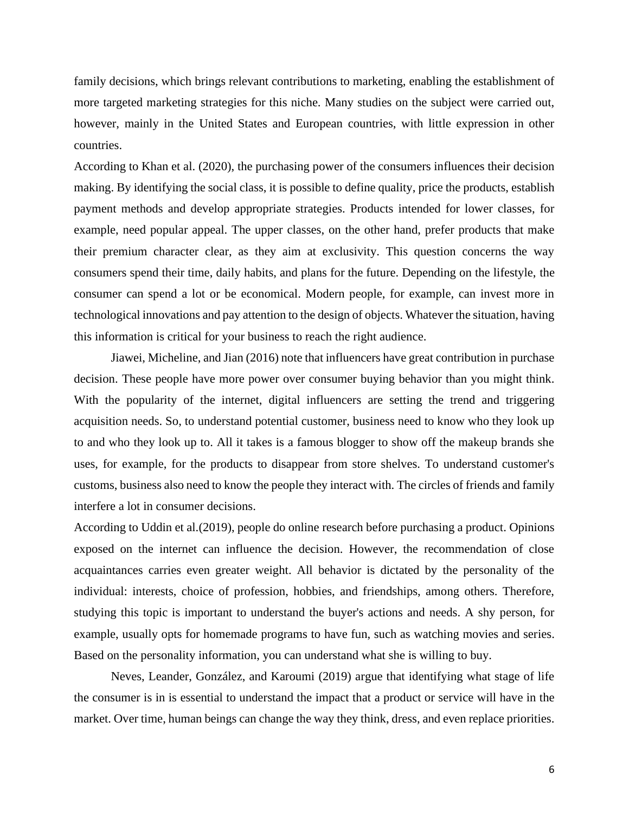family decisions, which brings relevant contributions to marketing, enabling the establishment of more targeted marketing strategies for this niche. Many studies on the subject were carried out, however, mainly in the United States and European countries, with little expression in other countries.

According to Khan et al. (2020), the purchasing power of the consumers influences their decision making. By identifying the social class, it is possible to define quality, price the products, establish payment methods and develop appropriate strategies. Products intended for lower classes, for example, need popular appeal. The upper classes, on the other hand, prefer products that make their premium character clear, as they aim at exclusivity. This question concerns the way consumers spend their time, daily habits, and plans for the future. Depending on the lifestyle, the consumer can spend a lot or be economical. Modern people, for example, can invest more in technological innovations and pay attention to the design of objects. Whatever the situation, having this information is critical for your business to reach the right audience.

Jiawei, Micheline, and Jian (2016) note that influencers have great contribution in purchase decision. These people have more power over consumer buying behavior than you might think. With the popularity of the internet, digital influencers are setting the trend and triggering acquisition needs. So, to understand potential customer, business need to know who they look up to and who they look up to. All it takes is a famous blogger to show off the makeup brands she uses, for example, for the products to disappear from store shelves. To understand customer's customs, business also need to know the people they interact with. The circles of friends and family interfere a lot in consumer decisions.

According to Uddin et al.(2019), people do online research before purchasing a product. Opinions exposed on the internet can influence the decision. However, the recommendation of close acquaintances carries even greater weight. All behavior is dictated by the personality of the individual: interests, choice of profession, hobbies, and friendships, among others. Therefore, studying this topic is important to understand the buyer's actions and needs. A shy person, for example, usually opts for homemade programs to have fun, such as watching movies and series. Based on the personality information, you can understand what she is willing to buy.

Neves, Leander, González, and Karoumi (2019) argue that identifying what stage of life the consumer is in is essential to understand the impact that a product or service will have in the market. Over time, human beings can change the way they think, dress, and even replace priorities.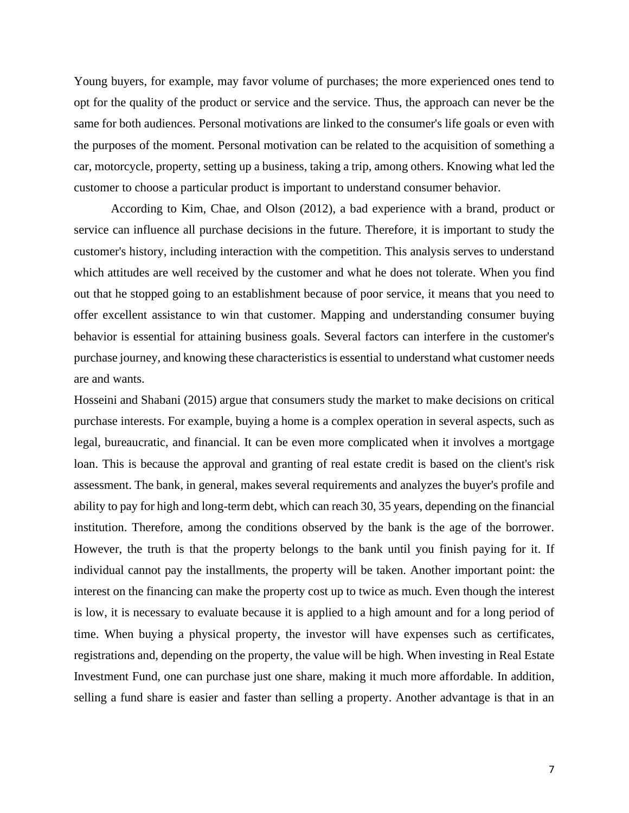Young buyers, for example, may favor volume of purchases; the more experienced ones tend to opt for the quality of the product or service and the service. Thus, the approach can never be the same for both audiences. Personal motivations are linked to the consumer's life goals or even with the purposes of the moment. Personal motivation can be related to the acquisition of something a car, motorcycle, property, setting up a business, taking a trip, among others. Knowing what led the customer to choose a particular product is important to understand consumer behavior.

According to Kim, Chae, and Olson (2012), a bad experience with a brand, product or service can influence all purchase decisions in the future. Therefore, it is important to study the customer's history, including interaction with the competition. This analysis serves to understand which attitudes are well received by the customer and what he does not tolerate. When you find out that he stopped going to an establishment because of poor service, it means that you need to offer excellent assistance to win that customer. Mapping and understanding consumer buying behavior is essential for attaining business goals. Several factors can interfere in the customer's purchase journey, and knowing these characteristics is essential to understand what customer needs are and wants.

Hosseini and Shabani (2015) argue that consumers study the market to make decisions on critical purchase interests. For example, buying a home is a complex operation in several aspects, such as legal, bureaucratic, and financial. It can be even more complicated when it involves a mortgage loan. This is because the approval and granting of real estate credit is based on the client's risk assessment. The bank, in general, makes several requirements and analyzes the buyer's profile and ability to pay for high and long-term debt, which can reach 30, 35 years, depending on the financial institution. Therefore, among the conditions observed by the bank is the age of the borrower. However, the truth is that the property belongs to the bank until you finish paying for it. If individual cannot pay the installments, the property will be taken. Another important point: the interest on the financing can make the property cost up to twice as much. Even though the interest is low, it is necessary to evaluate because it is applied to a high amount and for a long period of time. When buying a physical property, the investor will have expenses such as certificates, registrations and, depending on the property, the value will be high. When investing in Real Estate Investment Fund, one can purchase just one share, making it much more affordable. In addition, selling a fund share is easier and faster than selling a property. Another advantage is that in an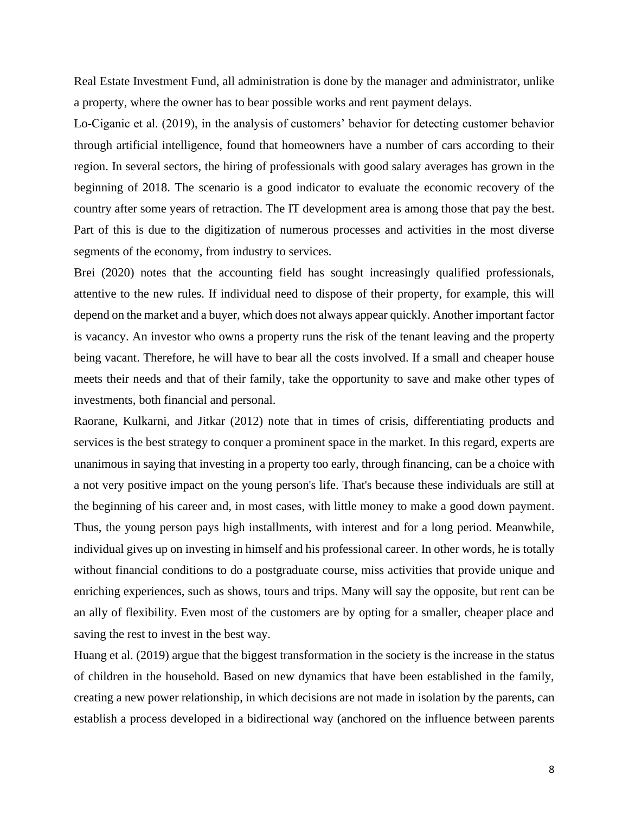Real Estate Investment Fund, all administration is done by the manager and administrator, unlike a property, where the owner has to bear possible works and rent payment delays.

Lo-Ciganic et al. (2019), in the analysis of customers' behavior for detecting customer behavior through artificial intelligence, found that homeowners have a number of cars according to their region. In several sectors, the hiring of professionals with good salary averages has grown in the beginning of 2018. The scenario is a good indicator to evaluate the economic recovery of the country after some years of retraction. The IT development area is among those that pay the best. Part of this is due to the digitization of numerous processes and activities in the most diverse segments of the economy, from industry to services.

Brei (2020) notes that the accounting field has sought increasingly qualified professionals, attentive to the new rules. If individual need to dispose of their property, for example, this will depend on the market and a buyer, which does not always appear quickly. Another important factor is vacancy. An investor who owns a property runs the risk of the tenant leaving and the property being vacant. Therefore, he will have to bear all the costs involved. If a small and cheaper house meets their needs and that of their family, take the opportunity to save and make other types of investments, both financial and personal.

Raorane, Kulkarni, and Jitkar (2012) note that in times of crisis, differentiating products and services is the best strategy to conquer a prominent space in the market. In this regard, experts are unanimous in saying that investing in a property too early, through financing, can be a choice with a not very positive impact on the young person's life. That's because these individuals are still at the beginning of his career and, in most cases, with little money to make a good down payment. Thus, the young person pays high installments, with interest and for a long period. Meanwhile, individual gives up on investing in himself and his professional career. In other words, he is totally without financial conditions to do a postgraduate course, miss activities that provide unique and enriching experiences, such as shows, tours and trips. Many will say the opposite, but rent can be an ally of flexibility. Even most of the customers are by opting for a smaller, cheaper place and saving the rest to invest in the best way.

Huang et al. (2019) argue that the biggest transformation in the society is the increase in the status of children in the household. Based on new dynamics that have been established in the family, creating a new power relationship, in which decisions are not made in isolation by the parents, can establish a process developed in a bidirectional way (anchored on the influence between parents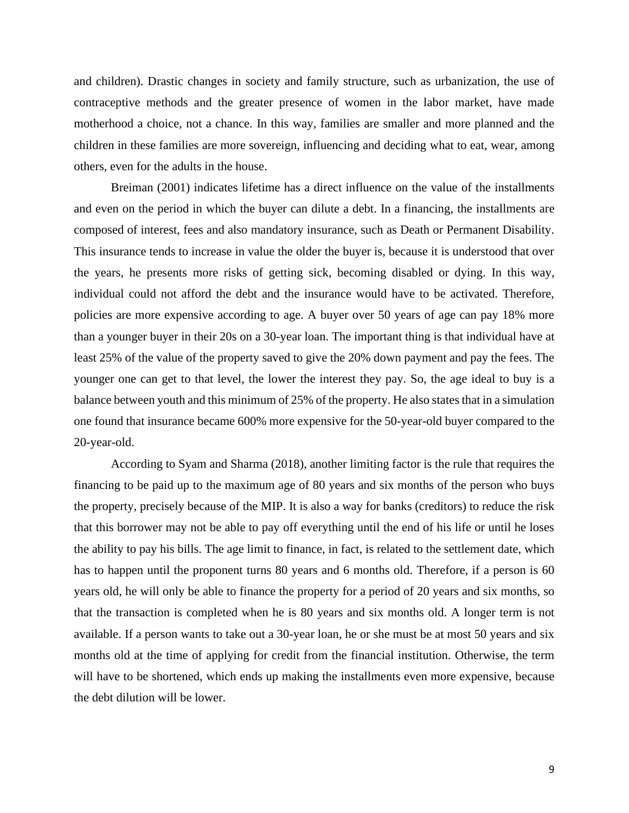and children). Drastic changes in society and family structure, such as urbanization, the use of contraceptive methods and the greater presence of women in the labor market, have made motherhood a choice, not a chance. In this way, families are smaller and more planned and the children in these families are more sovereign, influencing and deciding what to eat, wear, among others, even for the adults in the house.

Breiman (2001) indicates lifetime has a direct influence on the value of the installments and even on the period in which the buyer can dilute a debt. In a financing, the installments are composed of interest, fees and also mandatory insurance, such as Death or Permanent Disability. This insurance tends to increase in value the older the buyer is, because it is understood that over the years, he presents more risks of getting sick, becoming disabled or dying. In this way, individual could not afford the debt and the insurance would have to be activated. Therefore, policies are more expensive according to age. A buyer over 50 years of age can pay 18% more than a younger buyer in their 20s on a 30-year loan. The important thing is that individual have at least 25% of the value of the property saved to give the 20% down payment and pay the fees. The younger one can get to that level, the lower the interest they pay. So, the age ideal to buy is a balance between youth and this minimum of 25% of the property. He also states that in a simulation one found that insurance became 600% more expensive for the 50-year-old buyer compared to the 20-year-old.

According to Syam and Sharma (2018), another limiting factor is the rule that requires the financing to be paid up to the maximum age of 80 years and six months of the person who buys the property, precisely because of the MIP. It is also a way for banks (creditors) to reduce the risk that this borrower may not be able to pay off everything until the end of his life or until he loses the ability to pay his bills. The age limit to finance, in fact, is related to the settlement date, which has to happen until the proponent turns 80 years and 6 months old. Therefore, if a person is 60 years old, he will only be able to finance the property for a period of 20 years and six months, so that the transaction is completed when he is 80 years and six months old. A longer term is not available. If a person wants to take out a 30-year loan, he or she must be at most 50 years and six months old at the time of applying for credit from the financial institution. Otherwise, the term will have to be shortened, which ends up making the installments even more expensive, because the debt dilution will be lower.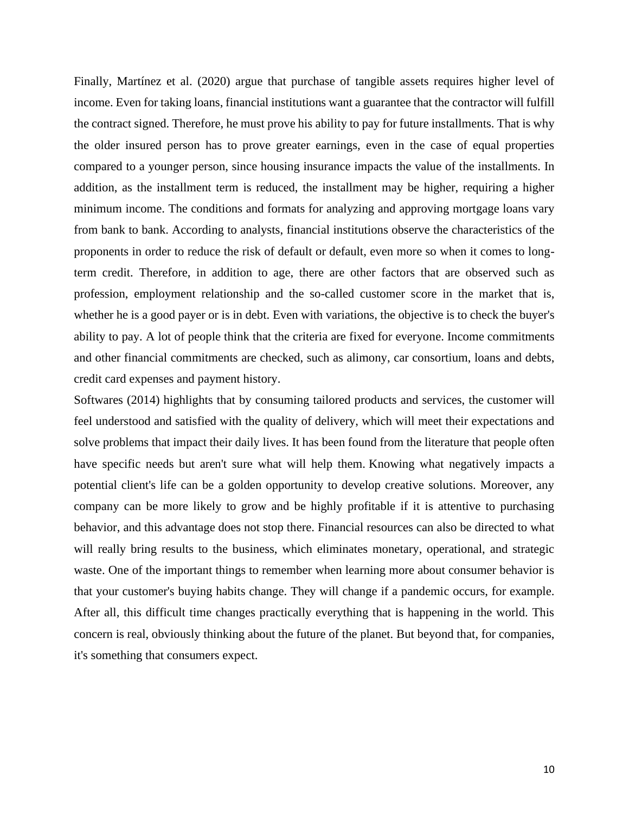Finally, Martínez et al. (2020) argue that purchase of tangible assets requires higher level of income. Even for taking loans, financial institutions want a guarantee that the contractor will fulfill the contract signed. Therefore, he must prove his ability to pay for future installments. That is why the older insured person has to prove greater earnings, even in the case of equal properties compared to a younger person, since housing insurance impacts the value of the installments. In addition, as the installment term is reduced, the installment may be higher, requiring a higher minimum income. The conditions and formats for analyzing and approving mortgage loans vary from bank to bank. According to analysts, financial institutions observe the characteristics of the proponents in order to reduce the risk of default or default, even more so when it comes to longterm credit. Therefore, in addition to age, there are other factors that are observed such as profession, employment relationship and the so-called customer score in the market that is, whether he is a good payer or is in debt. Even with variations, the objective is to check the buyer's ability to pay. A lot of people think that the criteria are fixed for everyone. Income commitments and other financial commitments are checked, such as alimony, car consortium, loans and debts, credit card expenses and payment history.

Softwares (2014) highlights that by consuming tailored products and services, the [customer](https://www.scuadra.com.br/blog/como-embalagem-promocional-motiva-o-cliente-comprar/) will feel understood and satisfied with the quality of delivery, which will meet their expectations and solve problems that impact their daily lives. It has been found from the literature that people often have specific needs but aren't sure what will help them. Knowing what negatively impacts a potential client's life can be a golden opportunity to develop creative solutions. Moreover, any company can be more likely to grow and be highly profitable if it is attentive to purchasing behavior, and this [advantage](https://www.scuadra.com.br/blog/vantagens-do-combo-promocional/) does not stop there. Financial resources can also be directed to what will really bring results to the business, which eliminates monetary, operational, and strategic waste. One of the important things to remember when learning more about consumer behavior is that your customer's buying habits change. They will change if a pandemic occurs, for example. After all, this difficult time changes practically everything that is happening in the world. This concern is real, obviously thinking about the future of the planet. But beyond that, for companies, it's something that consumers expect.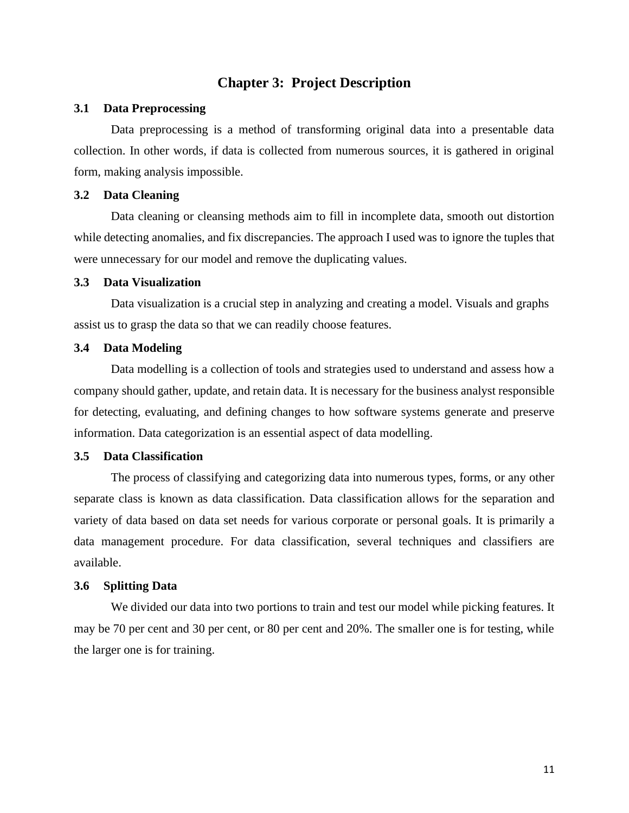## **Chapter 3: Project Description**

#### <span id="page-17-1"></span><span id="page-17-0"></span>**3.1 Data Preprocessing**

Data preprocessing is a method of transforming original data into a presentable data collection. In other words, if data is collected from numerous sources, it is gathered in original form, making analysis impossible.

#### <span id="page-17-2"></span>**3.2 Data Cleaning**

Data cleaning or cleansing methods aim to fill in incomplete data, smooth out distortion while detecting anomalies, and fix discrepancies. The approach I used was to ignore the tuples that were unnecessary for our model and remove the duplicating values.

#### <span id="page-17-3"></span>**3.3 Data Visualization**

Data visualization is a crucial step in analyzing and creating a model. Visuals and graphs assist us to grasp the data so that we can readily choose features.

#### <span id="page-17-4"></span>**3.4 Data Modeling**

Data modelling is a collection of tools and strategies used to understand and assess how a company should gather, update, and retain data. It is necessary for the business analyst responsible for detecting, evaluating, and defining changes to how software systems generate and preserve information. Data categorization is an essential aspect of data modelling.

#### <span id="page-17-5"></span>**3.5 Data Classification**

The process of classifying and categorizing data into numerous types, forms, or any other separate class is known as data classification. Data classification allows for the separation and variety of data based on data set needs for various corporate or personal goals. It is primarily a data management procedure. For data classification, several techniques and classifiers are available.

#### <span id="page-17-6"></span>**3.6 Splitting Data**

We divided our data into two portions to train and test our model while picking features. It may be 70 per cent and 30 per cent, or 80 per cent and 20%. The smaller one is for testing, while the larger one is for training.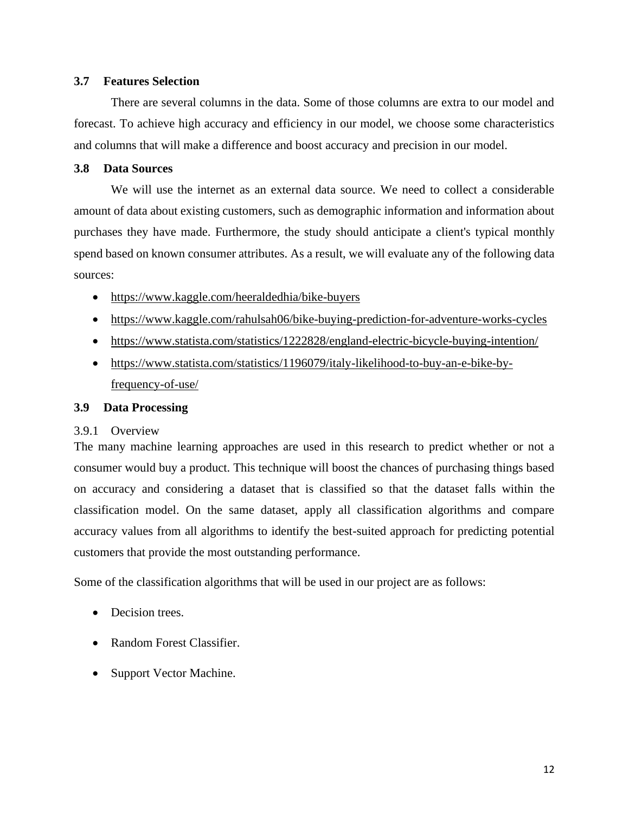#### <span id="page-18-0"></span>**3.7 Features Selection**

There are several columns in the data. Some of those columns are extra to our model and forecast. To achieve high accuracy and efficiency in our model, we choose some characteristics and columns that will make a difference and boost accuracy and precision in our model.

## <span id="page-18-1"></span>**3.8 Data Sources**

We will use the internet as an external data source. We need to collect a considerable amount of data about existing customers, such as demographic information and information about purchases they have made. Furthermore, the study should anticipate a client's typical monthly spend based on known consumer attributes. As a result, we will evaluate any of the following data sources:

- https://www.kaggle.com/heeraldedhia/bike-buyers
- https://www.kaggle.com/rahulsah06/bike-buying-prediction-for-adventure-works-cycles
- https://www.statista.com/statistics/1222828/england-electric-bicycle-buying-intention/
- [https://www.statista.com/statistics/1196079/italy-likelihood-to-buy-an-e-bike-by](https://www.statista.com/statistics/1196079/italy-likelihood-to-buy-an-e-bike-by-frequency-of-use/)[frequency-of-use/](https://www.statista.com/statistics/1196079/italy-likelihood-to-buy-an-e-bike-by-frequency-of-use/)

## <span id="page-18-2"></span>**3.9 Data Processing**

#### <span id="page-18-3"></span>3.9.1 Overview

The many machine learning approaches are used in this research to predict whether or not a consumer would buy a product. This technique will boost the chances of purchasing things based on accuracy and considering a dataset that is classified so that the dataset falls within the classification model. On the same dataset, apply all classification algorithms and compare accuracy values from all algorithms to identify the best-suited approach for predicting potential customers that provide the most outstanding performance.

Some of the classification algorithms that will be used in our project are as follows:

- Decision trees.
- Random Forest Classifier.
- Support Vector Machine.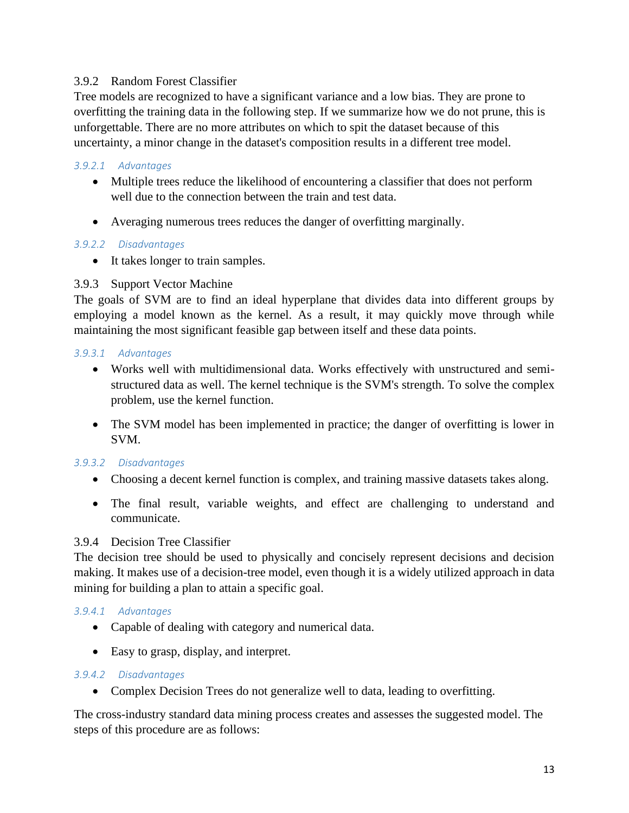## <span id="page-19-0"></span>3.9.2 Random Forest Classifier

Tree models are recognized to have a significant variance and a low bias. They are prone to overfitting the training data in the following step. If we summarize how we do not prune, this is unforgettable. There are no more attributes on which to spit the dataset because of this uncertainty, a minor change in the dataset's composition results in a different tree model.

#### *3.9.2.1 Advantages*

- Multiple trees reduce the likelihood of encountering a classifier that does not perform well due to the connection between the train and test data.
- Averaging numerous trees reduces the danger of overfitting marginally.

#### *3.9.2.2 Disadvantages*

• It takes longer to train samples.

#### <span id="page-19-1"></span>3.9.3 Support Vector Machine

The goals of SVM are to find an ideal hyperplane that divides data into different groups by employing a model known as the kernel. As a result, it may quickly move through while maintaining the most significant feasible gap between itself and these data points.

#### *3.9.3.1 Advantages*

- Works well with multidimensional data. Works effectively with unstructured and semistructured data as well. The kernel technique is the SVM's strength. To solve the complex problem, use the kernel function.
- The SVM model has been implemented in practice; the danger of overfitting is lower in SVM.

## *3.9.3.2 Disadvantages*

- Choosing a decent kernel function is complex, and training massive datasets takes along.
- The final result, variable weights, and effect are challenging to understand and communicate.

## <span id="page-19-2"></span>3.9.4 Decision Tree Classifier

The decision tree should be used to physically and concisely represent decisions and decision making. It makes use of a decision-tree model, even though it is a widely utilized approach in data mining for building a plan to attain a specific goal.

#### *3.9.4.1 Advantages*

- Capable of dealing with category and numerical data.
- Easy to grasp, display, and interpret.

#### *3.9.4.2 Disadvantages*

• Complex Decision Trees do not generalize well to data, leading to overfitting.

The cross-industry standard data mining process creates and assesses the suggested model. The steps of this procedure are as follows: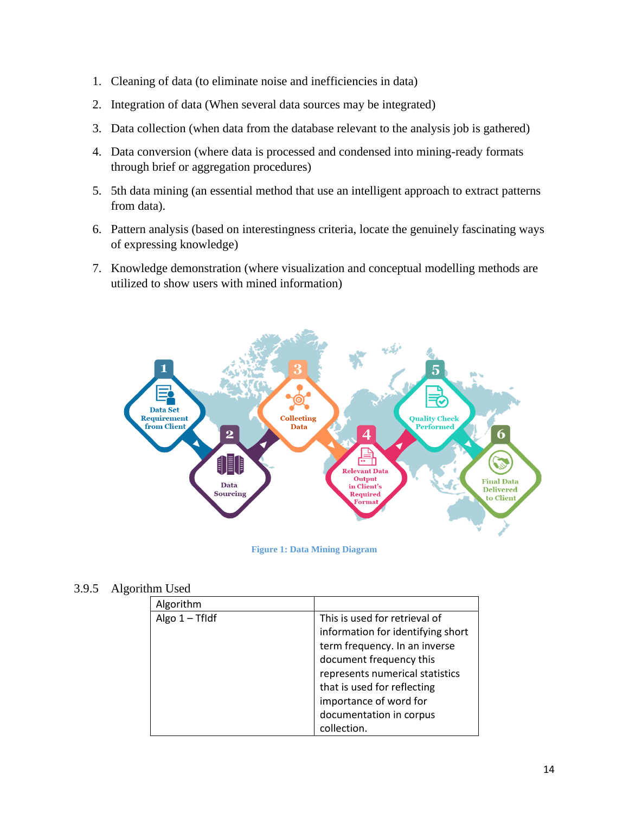- 1. Cleaning of data (to eliminate noise and inefficiencies in data)
- 2. Integration of data (When several data sources may be integrated)
- 3. Data collection (when data from the database relevant to the analysis job is gathered)
- 4. Data conversion (where data is processed and condensed into mining-ready formats through brief or aggregation procedures)
- 5. 5th data mining (an essential method that use an intelligent approach to extract patterns from data).
- 6. Pattern analysis (based on interestingness criteria, locate the genuinely fascinating ways of expressing knowledge)
- 7. Knowledge demonstration (where visualization and conceptual modelling methods are utilized to show users with mined information)



**Figure 1: Data Mining Diagram**

<span id="page-20-1"></span><span id="page-20-0"></span>

| 3.9.5 | Algorithm Used |  |
|-------|----------------|--|
|       |                |  |

| Algorithm      |                                   |
|----------------|-----------------------------------|
| Algo 1 - Tfldf | This is used for retrieval of     |
|                | information for identifying short |
|                | term frequency. In an inverse     |
|                | document frequency this           |
|                | represents numerical statistics   |
|                | that is used for reflecting       |
|                | importance of word for            |
|                | documentation in corpus           |
|                | collection.                       |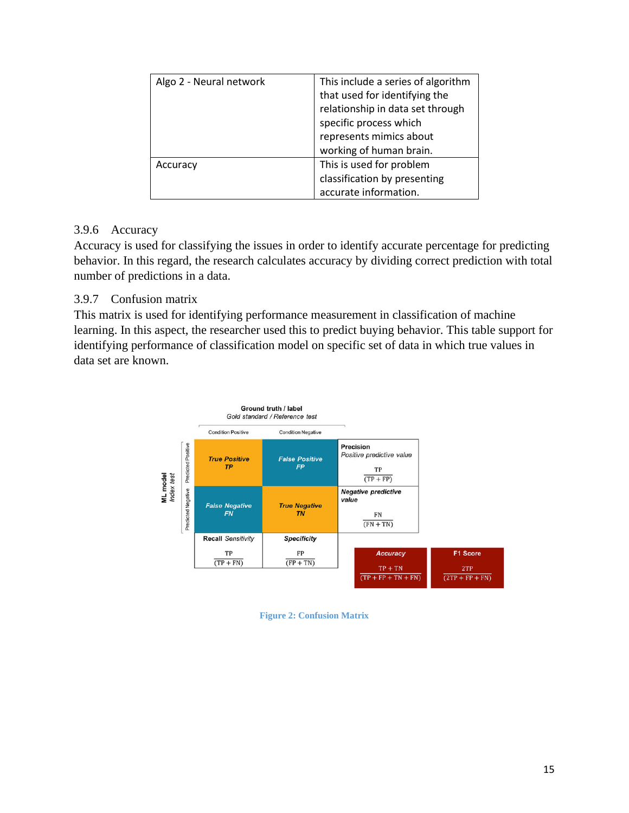| Algo 2 - Neural network | This include a series of algorithm<br>that used for identifying the<br>relationship in data set through<br>specific process which<br>represents mimics about<br>working of human brain. |
|-------------------------|-----------------------------------------------------------------------------------------------------------------------------------------------------------------------------------------|
| Accuracy                | This is used for problem<br>classification by presenting<br>accurate information.                                                                                                       |

# <span id="page-21-0"></span>3.9.6 Accuracy

Accuracy is used for classifying the issues in order to identify accurate percentage for predicting behavior. In this regard, the research calculates accuracy by dividing correct prediction with total number of predictions in a data.

# <span id="page-21-1"></span>3.9.7 Confusion matrix

This matrix is used for identifying performance measurement in classification of machine learning. In this aspect, the researcher used this to predict buying behavior. This table support for identifying performance of classification model on specific set of data in which true values in data set are known.



<span id="page-21-2"></span>**Figure 2: Confusion Matrix**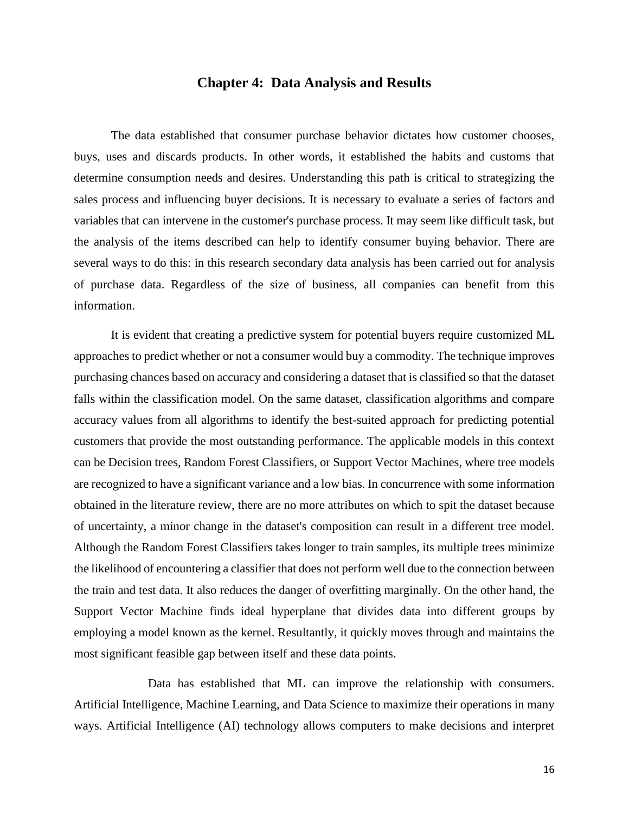#### **Chapter 4: Data Analysis and Results**

<span id="page-22-0"></span>The data established that consumer purchase behavior dictates how customer chooses, buys, uses and discards products. In other words, it established the habits and customs that determine consumption needs and desires. Understanding this path is critical to strategizing the sales process and influencing buyer decisions. It is necessary to evaluate a series of factors and variables that can intervene in the customer's purchase process. It may seem like difficult task, but the analysis of the items described can help to identify consumer buying behavior. There are several ways to do this: in this research secondary data analysis has been carried out for analysis of purchase data. Regardless of the size of business, all companies can benefit from this information.

It is evident that creating a predictive system for potential buyers require customized ML approaches to predict whether or not a consumer would buy a commodity. The technique improves purchasing chances based on accuracy and considering a dataset that is classified so that the dataset falls within the classification model. On the same dataset, classification algorithms and compare accuracy values from all algorithms to identify the best-suited approach for predicting potential customers that provide the most outstanding performance. The applicable models in this context can be Decision trees, Random Forest Classifiers, or Support Vector Machines, where tree models are recognized to have a significant variance and a low bias. In concurrence with some information obtained in the literature review, there are no more attributes on which to spit the dataset because of uncertainty, a minor change in the dataset's composition can result in a different tree model. Although the Random Forest Classifiers takes longer to train samples, its multiple trees minimize the likelihood of encountering a classifier that does not perform well due to the connection between the train and test data. It also reduces the danger of overfitting marginally. On the other hand, the Support Vector Machine finds ideal hyperplane that divides data into different groups by employing a model known as the kernel. Resultantly, it quickly moves through and maintains the most significant feasible gap between itself and these data points.

Data has established that ML can improve the relationship with consumers. Artificial Intelligence, Machine Learning, and Data Science to maximize their operations in many ways. Artificial Intelligence (AI) technology allows computers to make decisions and interpret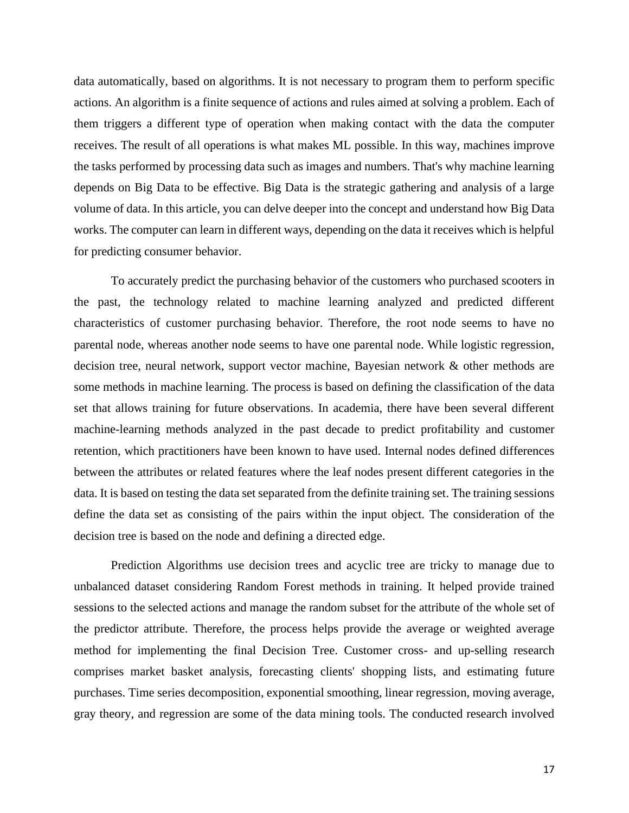data automatically, based on algorithms. It is not necessary to program them to perform specific actions. An algorithm is a finite sequence of actions and rules aimed at solving a problem. Each of them triggers a different type of operation when making contact with the data the computer receives. The result of all operations is what makes ML possible. In this way, machines improve the tasks performed by processing data such as images and numbers. That's why machine learning depends on Big Data to be effective. Big Data is the strategic gathering and analysis of a large volume of data. In this article, you can delve deeper into the concept and understand how Big Data works. The computer can learn in different ways, depending on the data it receives which is helpful for predicting consumer behavior.

To accurately predict the purchasing behavior of the customers who purchased scooters in the past, the technology related to machine learning analyzed and predicted different characteristics of customer purchasing behavior. Therefore, the root node seems to have no parental node, whereas another node seems to have one parental node. While logistic regression, decision tree, neural network, support vector machine, Bayesian network & other methods are some methods in machine learning. The process is based on defining the classification of the data set that allows training for future observations. In academia, there have been several different machine-learning methods analyzed in the past decade to predict profitability and customer retention, which practitioners have been known to have used. Internal nodes defined differences between the attributes or related features where the leaf nodes present different categories in the data. It is based on testing the data set separated from the definite training set. The training sessions define the data set as consisting of the pairs within the input object. The consideration of the decision tree is based on the node and defining a directed edge.

Prediction Algorithms use decision trees and acyclic tree are tricky to manage due to unbalanced dataset considering Random Forest methods in training. It helped provide trained sessions to the selected actions and manage the random subset for the attribute of the whole set of the predictor attribute. Therefore, the process helps provide the average or weighted average method for implementing the final Decision Tree. Customer cross- and up-selling research comprises market basket analysis, forecasting clients' shopping lists, and estimating future purchases. Time series decomposition, exponential smoothing, linear regression, moving average, gray theory, and regression are some of the data mining tools. The conducted research involved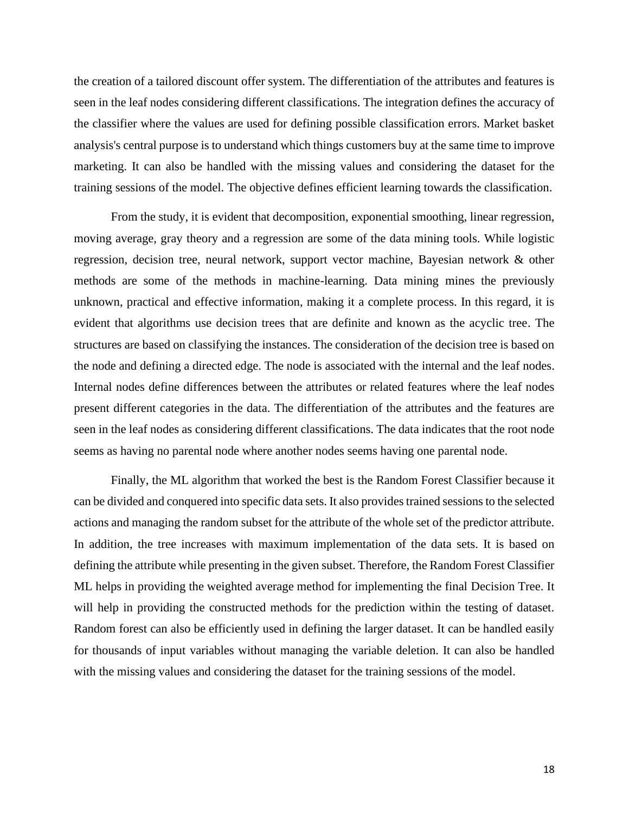the creation of a tailored discount offer system. The differentiation of the attributes and features is seen in the leaf nodes considering different classifications. The integration defines the accuracy of the classifier where the values are used for defining possible classification errors. Market basket analysis's central purpose is to understand which things customers buy at the same time to improve marketing. It can also be handled with the missing values and considering the dataset for the training sessions of the model. The objective defines efficient learning towards the classification.

From the study, it is evident that decomposition, exponential smoothing, linear regression, moving average, gray theory and a regression are some of the data mining tools. While logistic regression, decision tree, neural network, support vector machine, Bayesian network & other methods are some of the methods in machine-learning. Data mining mines the previously unknown, practical and effective information, making it a complete process. In this regard, it is evident that algorithms use decision trees that are definite and known as the acyclic tree. The structures are based on classifying the instances. The consideration of the decision tree is based on the node and defining a directed edge. The node is associated with the internal and the leaf nodes. Internal nodes define differences between the attributes or related features where the leaf nodes present different categories in the data. The differentiation of the attributes and the features are seen in the leaf nodes as considering different classifications. The data indicates that the root node seems as having no parental node where another nodes seems having one parental node.

Finally, the ML algorithm that worked the best is the Random Forest Classifier because it can be divided and conquered into specific data sets. It also provides trained sessions to the selected actions and managing the random subset for the attribute of the whole set of the predictor attribute. In addition, the tree increases with maximum implementation of the data sets. It is based on defining the attribute while presenting in the given subset. Therefore, the Random Forest Classifier ML helps in providing the weighted average method for implementing the final Decision Tree. It will help in providing the constructed methods for the prediction within the testing of dataset. Random forest can also be efficiently used in defining the larger dataset. It can be handled easily for thousands of input variables without managing the variable deletion. It can also be handled with the missing values and considering the dataset for the training sessions of the model.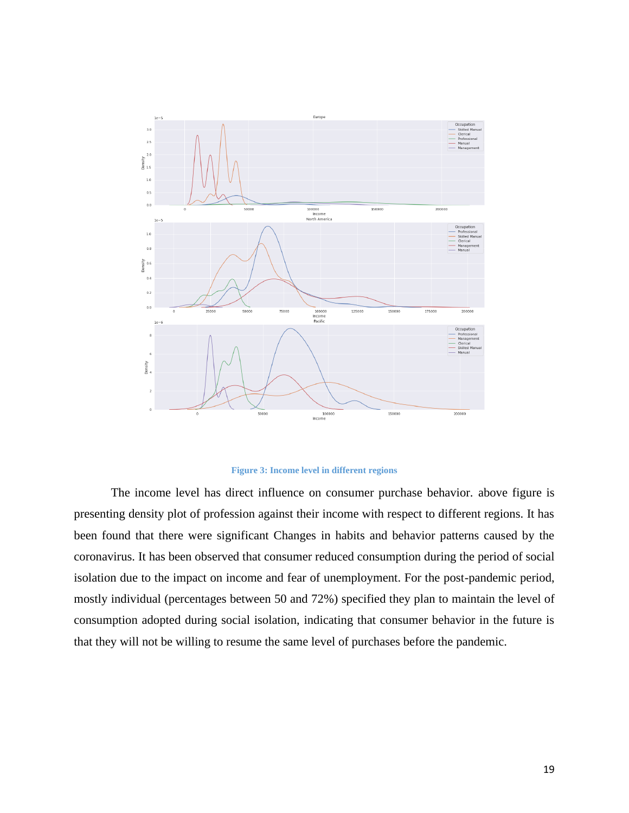

#### **Figure 3: Income level in different regions**

<span id="page-25-0"></span>The income level has direct influence on consumer purchase behavior. above figure is presenting density plot of profession against their income with respect to different regions. It has been found that there were significant Changes in habits and behavior patterns caused by the coronavirus. It has been observed that consumer reduced consumption during the period of social isolation due to the impact on income and fear of unemployment. For the post-pandemic period, mostly individual (percentages between 50 and 72%) specified they plan to maintain the level of consumption adopted during social isolation, indicating that consumer behavior in the future is that they will not be willing to resume the same level of purchases before the pandemic.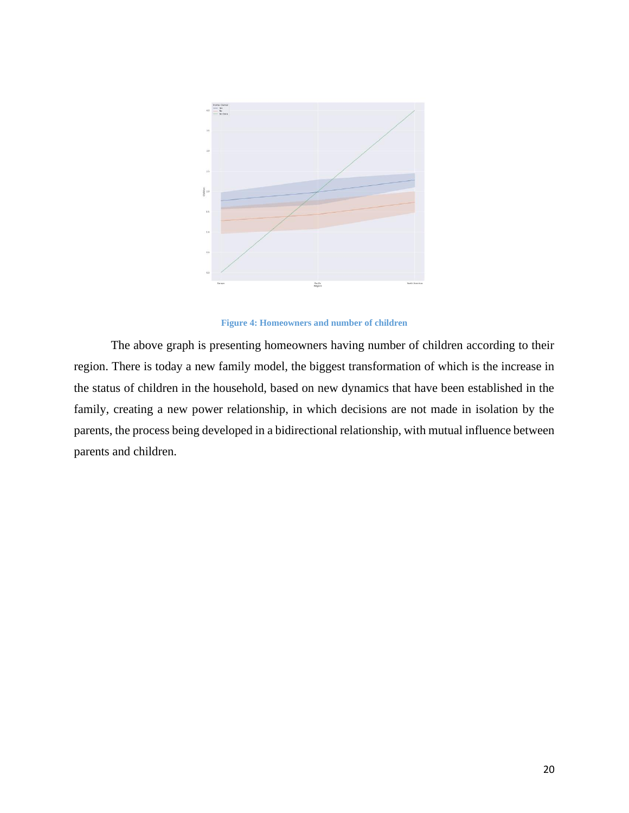

**Figure 4: Homeowners and number of children**

<span id="page-26-0"></span>The above graph is presenting homeowners having number of children according to their region. There is today a new family model, the biggest transformation of which is the increase in the status of children in the household, based on new dynamics that have been established in the family, creating a new power relationship, in which decisions are not made in isolation by the parents, the process being developed in a bidirectional relationship, with mutual influence between parents and children.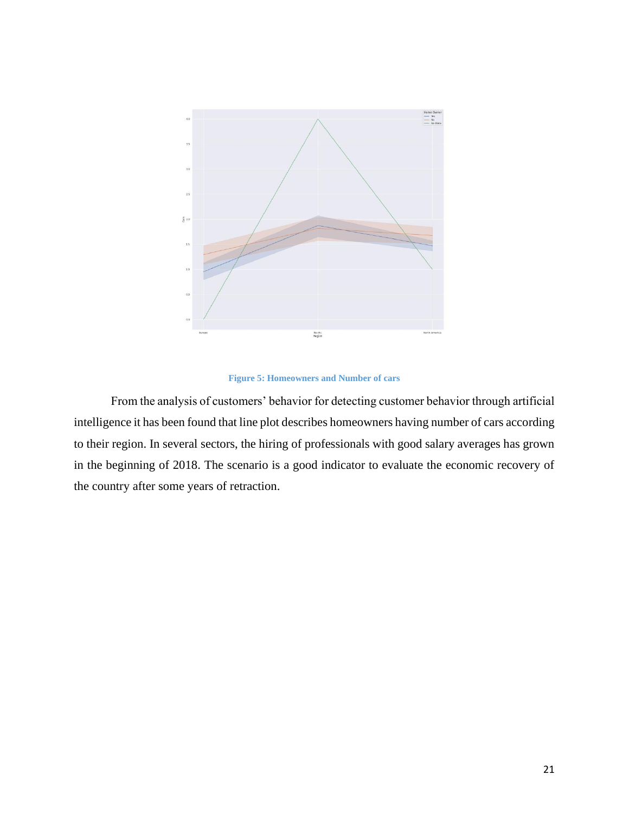

**Figure 5: Homeowners and Number of cars**

<span id="page-27-0"></span>From the analysis of customers' behavior for detecting customer behavior through artificial intelligence it has been found that line plot describes homeowners having number of cars according to their region. In several sectors, the hiring of professionals with good salary averages has grown in the beginning of 2018. The scenario is a good indicator to evaluate the economic recovery of the country after some years of retraction.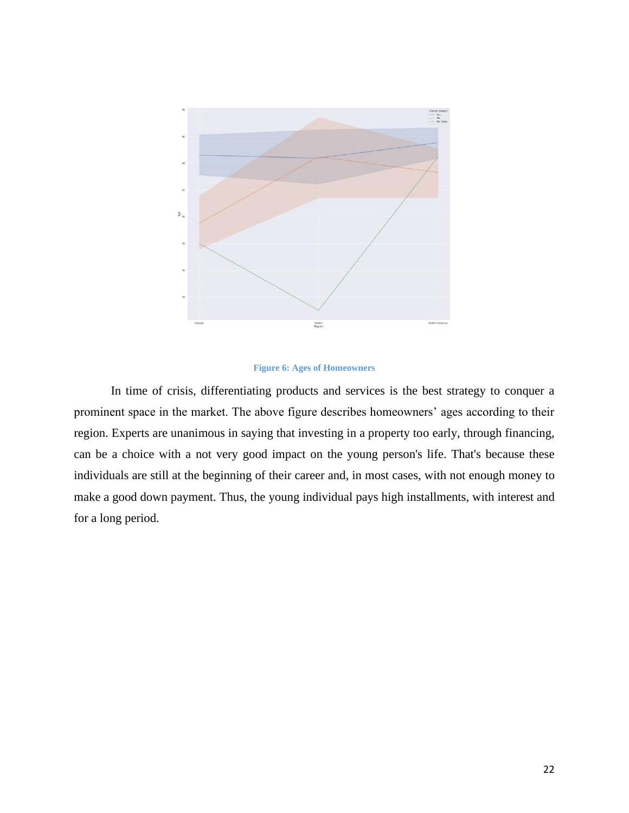

#### **Figure 6: Ages of Homeowners**

<span id="page-28-0"></span>In time of crisis, differentiating products and services is the best strategy to conquer a prominent space in the market. The above figure describes homeowners' ages according to their region. Experts are unanimous in saying that investing in a property too early, through financing, can be a choice with a not very good impact on the young person's life. That's because these individuals are still at the beginning of their career and, in most cases, with not enough money to make a good down payment. Thus, the young individual pays high installments, with interest and for a long period.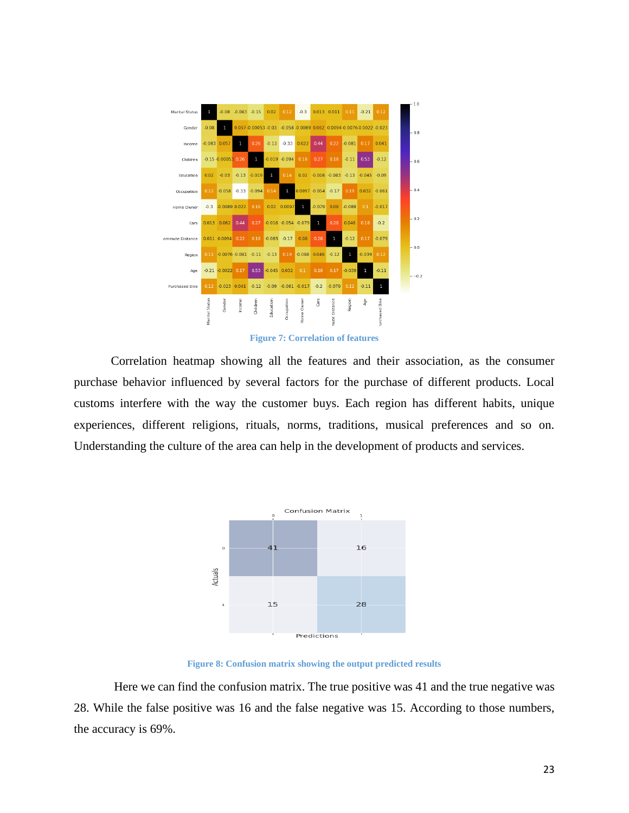

**Figure 7: Correlation of features**

<span id="page-29-0"></span>Correlation heatmap showing all the features and their association, as the consumer purchase behavior influenced by several factors for the purchase of different products. Local customs interfere with the way the customer buys. Each region has different habits, unique experiences, different religions, rituals, norms, traditions, musical preferences and so on. Understanding the culture of the area can help in the development of products and services.



**Figure 8: Confusion matrix showing the output predicted results**

<span id="page-29-1"></span>Here we can find the confusion matrix. The true positive was 41 and the true negative was 28. While the false positive was 16 and the false negative was 15. According to those numbers, the accuracy is 69%.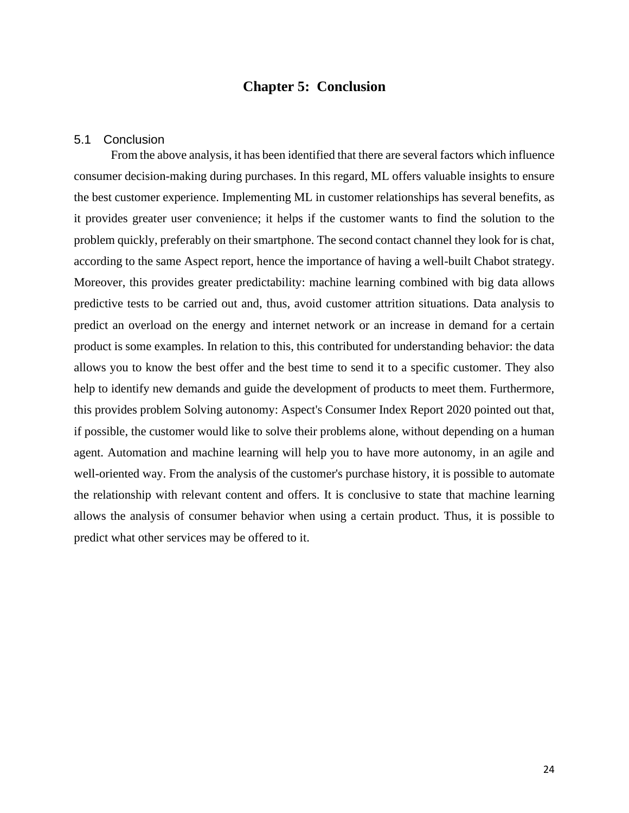# **Chapter 5: Conclusion**

#### <span id="page-30-1"></span><span id="page-30-0"></span>5.1 Conclusion

From the above analysis, it has been identified that there are several factors which influence consumer decision-making during purchases. In this regard, ML offers valuable insights to ensure the best customer experience. Implementing ML in customer relationships has several benefits, as it provides greater user convenience; it helps if the customer wants to find the solution to the problem quickly, preferably on their smartphone. The second contact channel they look for is chat, according to the same Aspect report, hence the importance of having a well-built Chabot strategy. Moreover, this provides greater predictability: machine learning combined with big data allows predictive tests to be carried out and, thus, avoid customer attrition situations. Data analysis to predict an overload on the energy and internet network or an increase in demand for a certain product is some examples. In relation to this, this contributed for understanding behavior: the data allows you to know the best offer and the best time to send it to a specific customer. They also help to identify new demands and guide the development of products to meet them. Furthermore, this provides problem Solving autonomy: Aspect's Consumer Index Report 2020 pointed out that, if possible, the customer would like to solve their problems alone, without depending on a human agent. Automation and machine learning will help you to have more autonomy, in an agile and well-oriented way. From the analysis of the customer's purchase history, it is possible to automate the relationship with relevant content and offers. It is conclusive to state that machine learning allows the analysis of consumer behavior when using a certain product. Thus, it is possible to predict what other services may be offered to it.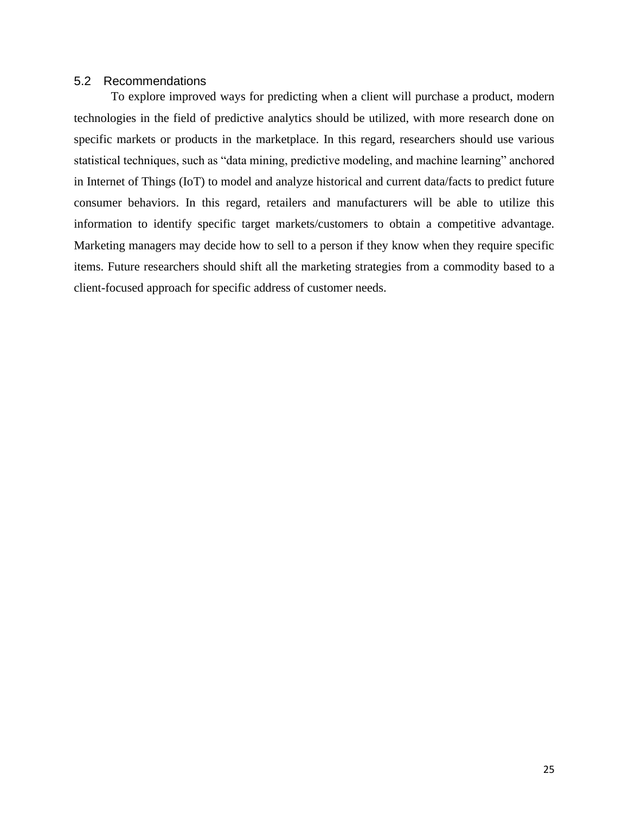#### <span id="page-31-0"></span>5.2 Recommendations

To explore improved ways for predicting when a client will purchase a product, modern technologies in the field of predictive analytics should be utilized, with more research done on specific markets or products in the marketplace. In this regard, researchers should use various statistical techniques, such as "data mining, predictive modeling, and machine learning" anchored in Internet of Things (IoT) to model and analyze historical and current data/facts to predict future consumer behaviors. In this regard, retailers and manufacturers will be able to utilize this information to identify specific target markets/customers to obtain a competitive advantage. Marketing managers may decide how to sell to a person if they know when they require specific items. Future researchers should shift all the marketing strategies from a commodity based to a client-focused approach for specific address of customer needs.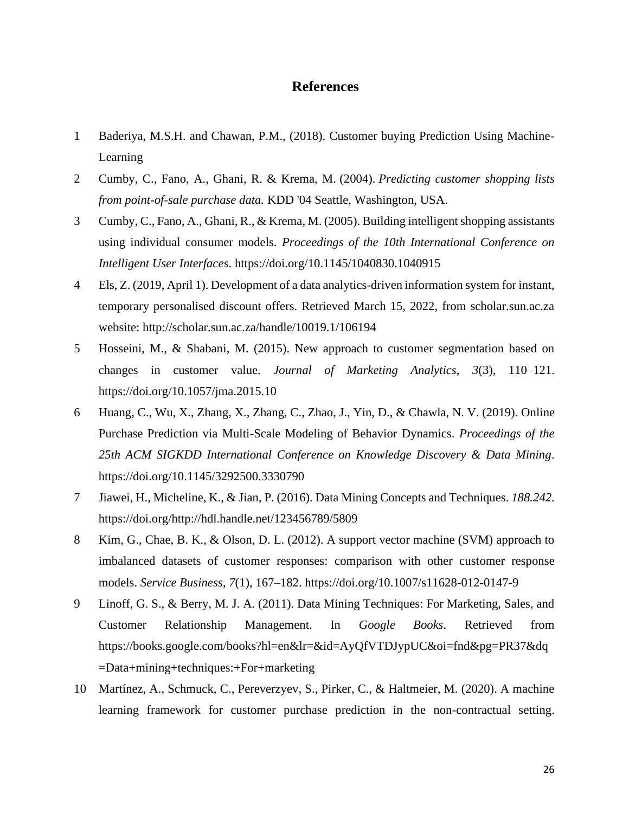# **References**

- <span id="page-32-0"></span>1 Baderiya, M.S.H. and Chawan, P.M., (2018). Customer buying Prediction Using Machine-Learning
- 2 Cumby, C., Fano, A., Ghani, R. & Krema, M. (2004). *Predicting customer shopping lists from point-of-sale purchase data.* KDD '04 Seattle, Washington, USA.
- 3 Cumby, C., Fano, A., Ghani, R., & Krema, M. (2005). Building intelligent shopping assistants using individual consumer models. *Proceedings of the 10th International Conference on Intelligent User Interfaces*. https://doi.org/10.1145/1040830.1040915
- 4 Els, Z. (2019, April 1). Development of a data analytics-driven information system for instant, temporary personalised discount offers. Retrieved March 15, 2022, from scholar.sun.ac.za website: http://scholar.sun.ac.za/handle/10019.1/106194
- 5 Hosseini, M., & Shabani, M. (2015). New approach to customer segmentation based on changes in customer value. *Journal of Marketing Analytics*, *3*(3), 110–121. https://doi.org/10.1057/jma.2015.10
- 6 Huang, C., Wu, X., Zhang, X., Zhang, C., Zhao, J., Yin, D., & Chawla, N. V. (2019). Online Purchase Prediction via Multi-Scale Modeling of Behavior Dynamics. *Proceedings of the 25th ACM SIGKDD International Conference on Knowledge Discovery & Data Mining*. https://doi.org/10.1145/3292500.3330790
- 7 Jiawei, H., Micheline, K., & Jian, P. (2016). Data Mining Concepts and Techniques. *188.242*. https://doi.org/http://hdl.handle.net/123456789/5809
- 8 Kim, G., Chae, B. K., & Olson, D. L. (2012). A support vector machine (SVM) approach to imbalanced datasets of customer responses: comparison with other customer response models. *Service Business*, *7*(1), 167–182. https://doi.org/10.1007/s11628-012-0147-9
- 9 Linoff, G. S., & Berry, M. J. A. (2011). Data Mining Techniques: For Marketing, Sales, and Customer Relationship Management. In *Google Books*. Retrieved from https://books.google.com/books?hl=en&lr=&id=AyQfVTDJypUC&oi=fnd&pg=PR37&dq =Data+mining+techniques:+For+marketing
- 10 Martínez, A., Schmuck, C., Pereverzyev, S., Pirker, C., & Haltmeier, M. (2020). A machine learning framework for customer purchase prediction in the non-contractual setting.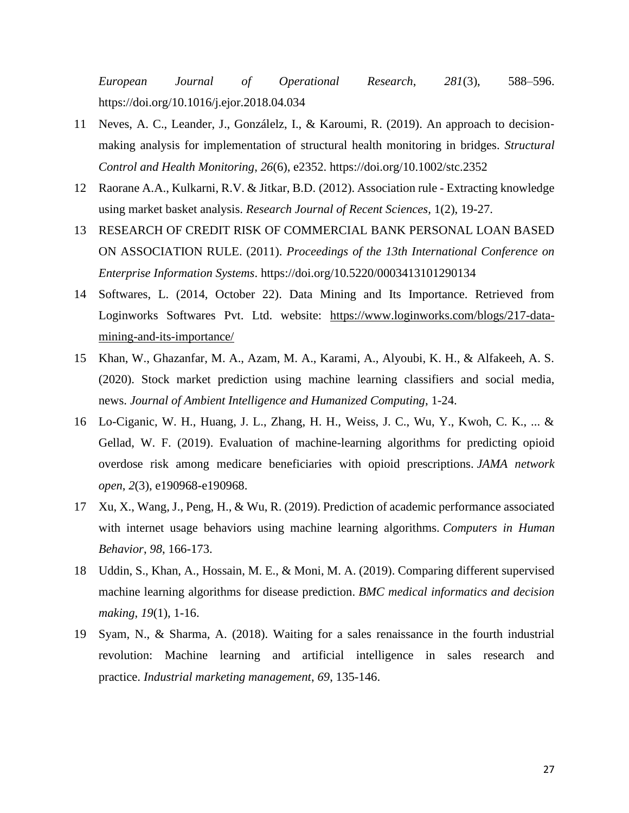*European Journal of Operational Research*, *281*(3), 588–596. https://doi.org/10.1016/j.ejor.2018.04.034

- 11 Neves, A. C., Leander, J., Gonzálelz, I., & Karoumi, R. (2019). An approach to decision‐ making analysis for implementation of structural health monitoring in bridges. *Structural Control and Health Monitoring*, *26*(6), e2352. https://doi.org/10.1002/stc.2352
- 12 Raorane A.A., Kulkarni, R.V. & Jitkar, B.D. (2012). Association rule Extracting knowledge using market basket analysis. *Research Journal of Recent Sciences,* 1(2), 19-27.
- 13 RESEARCH OF CREDIT RISK OF COMMERCIAL BANK PERSONAL LOAN BASED ON ASSOCIATION RULE. (2011). *Proceedings of the 13th International Conference on Enterprise Information Systems*. https://doi.org/10.5220/0003413101290134
- 14 Softwares, L. (2014, October 22). Data Mining and Its Importance. Retrieved from Loginworks Softwares Pvt. Ltd. website: [https://www.loginworks.com/blogs/217-data](https://www.loginworks.com/blogs/217-data-mining-and-its-importance/)[mining-and-its-importance/](https://www.loginworks.com/blogs/217-data-mining-and-its-importance/)
- 15 Khan, W., Ghazanfar, M. A., Azam, M. A., Karami, A., Alyoubi, K. H., & Alfakeeh, A. S. (2020). Stock market prediction using machine learning classifiers and social media, news. *Journal of Ambient Intelligence and Humanized Computing*, 1-24.
- 16 Lo-Ciganic, W. H., Huang, J. L., Zhang, H. H., Weiss, J. C., Wu, Y., Kwoh, C. K., ... & Gellad, W. F. (2019). Evaluation of machine-learning algorithms for predicting opioid overdose risk among medicare beneficiaries with opioid prescriptions. *JAMA network open*, *2*(3), e190968-e190968.
- 17 Xu, X., Wang, J., Peng, H., & Wu, R. (2019). Prediction of academic performance associated with internet usage behaviors using machine learning algorithms. *Computers in Human Behavior*, *98*, 166-173.
- 18 Uddin, S., Khan, A., Hossain, M. E., & Moni, M. A. (2019). Comparing different supervised machine learning algorithms for disease prediction. *BMC medical informatics and decision making*, *19*(1), 1-16.
- 19 Syam, N., & Sharma, A. (2018). Waiting for a sales renaissance in the fourth industrial revolution: Machine learning and artificial intelligence in sales research and practice. *Industrial marketing management*, *69*, 135-146.